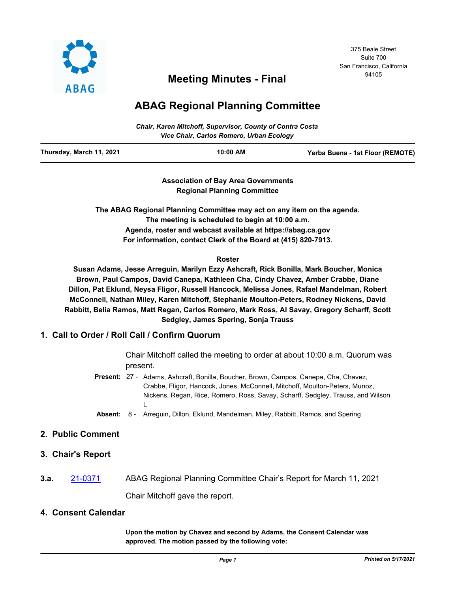

# <sup>94105</sup> **Meeting Minutes - Final**

## **ABAG Regional Planning Committee**

| Chair, Karen Mitchoff, Supervisor, County of Contra Costa<br>Vice Chair, Carlos Romero, Urban Ecology |          |                                  |
|-------------------------------------------------------------------------------------------------------|----------|----------------------------------|
| Thursday, March 11, 2021                                                                              | 10:00 AM | Yerba Buena - 1st Floor (REMOTE) |

**Association of Bay Area Governments Regional Planning Committee**

**The ABAG Regional Planning Committee may act on any item on the agenda. The meeting is scheduled to begin at 10:00 a.m. Agenda, roster and webcast available at https://abag.ca.gov For information, contact Clerk of the Board at (415) 820-7913.**

#### **Roster**

**Susan Adams, Jesse Arreguin, Marilyn Ezzy Ashcraft, Rick Bonilla, Mark Boucher, Monica Brown, Paul Campos, David Canepa, Kathleen Cha, Cindy Chavez, Amber Crabbe, Diane Dillon, Pat Eklund, Neysa Fligor, Russell Hancock, Melissa Jones, Rafael Mandelman, Robert McConnell, Nathan Miley, Karen Mitchoff, Stephanie Moulton-Peters, Rodney Nickens, David Rabbitt, Belia Ramos, Matt Regan, Carlos Romero, Mark Ross, Al Savay, Gregory Scharff, Scott Sedgley, James Spering, Sonja Trauss**

## **1. Call to Order / Roll Call / Confirm Quorum**

Chair Mitchoff called the meeting to order at about 10:00 a.m. Quorum was present.

- Present: 27 Adams, Ashcraft, Bonilla, Boucher, Brown, Campos, Canepa, Cha, Chavez, Crabbe, Fligor, Hancock, Jones, McConnell, Mitchoff, Moulton-Peters, Munoz, Nickens, Regan, Rice, Romero, Ross, Savay, Scharff, Sedgley, Trauss, and Wilson  $\mathbf{L}$
- **Absent:** 8 Arreguin, Dillon, Eklund, Mandelman, Miley, Rabbitt, Ramos, and Spering

## **2. Public Comment**

- **3. Chair's Report**
- **3.a.** [21-0371](http://mtc.legistar.com/gateway.aspx?m=l&id=/matter.aspx?key=21964) ABAG Regional Planning Committee Chair's Report for March 11, 2021 Chair Mitchoff gave the report.

## **4. Consent Calendar**

**Upon the motion by Chavez and second by Adams, the Consent Calendar was approved. The motion passed by the following vote:**